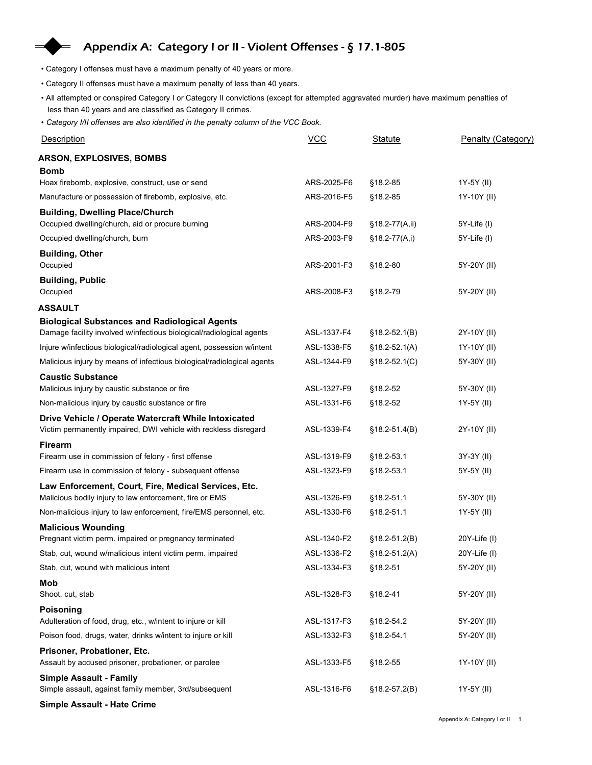## Appendix A: Category I or II - Violent Offenses - § 17.1-805

- Category I offenses must have a maximum penalty of 40 years or more.
- Category II offenses must have a maximum penalty of less than 40 years.
- All attempted or conspired Category I or Category II convictions (except for attempted aggravated murder) have maximum penalties of less than 40 years and are classified as Category II crimes.
- Category I/II offenses are also identified in the penalty column of the VCC Book.

| • Category I offenses must have a maximum penalty of 40 years or more.                                                                                                                                |             |                   |                    |
|-------------------------------------------------------------------------------------------------------------------------------------------------------------------------------------------------------|-------------|-------------------|--------------------|
| • Category II offenses must have a maximum penalty of less than 40 years.                                                                                                                             |             |                   |                    |
| . All attempted or conspired Category I or Category II convictions (except for attempted aggravated murder) have maximum penalties of<br>less than 40 years and are classified as Category II crimes. |             |                   |                    |
| • Category I/II offenses are also identified in the penalty column of the VCC Book.                                                                                                                   |             |                   |                    |
| <b>Description</b>                                                                                                                                                                                    | $VCC$       | <b>Statute</b>    | Penalty (Category) |
| <b>ARSON, EXPLOSIVES, BOMBS</b>                                                                                                                                                                       |             |                   |                    |
| <b>Bomb</b>                                                                                                                                                                                           |             |                   |                    |
| Hoax firebomb, explosive, construct, use or send                                                                                                                                                      | ARS-2025-F6 | §18.2-85          | 1Y-5Y (II)         |
| Manufacture or possession of firebomb, explosive, etc.                                                                                                                                                | ARS-2016-F5 | §18.2-85          | 1Y-10Y (II)        |
| <b>Building, Dwelling Place/Church</b><br>Occupied dwelling/church, aid or procure burning                                                                                                            | ARS-2004-F9 | $§18.2-77(A,ii)$  | 5Y-Life (I)        |
| Occupied dwelling/church, burn                                                                                                                                                                        | ARS-2003-F9 | $§18.2-77(A,i)$   | 5Y-Life (I)        |
| <b>Building, Other</b>                                                                                                                                                                                |             |                   |                    |
| Occupied                                                                                                                                                                                              | ARS-2001-F3 | §18.2-80          | 5Y-20Y (II)        |
| <b>Building, Public</b>                                                                                                                                                                               |             |                   |                    |
| Occupied                                                                                                                                                                                              | ARS-2008-F3 | §18.2-79          | 5Y-20Y (II)        |
| ASSAULT                                                                                                                                                                                               |             |                   |                    |
| <b>Biological Substances and Radiological Agents</b><br>Damage facility involved w/infectious biological/radiological agents                                                                          | ASL-1337-F4 | $§18.2-52.1(B)$   | 2Y-10Y (II)        |
| Injure w/infectious biological/radiological agent, possession w/intent                                                                                                                                | ASL-1338-F5 | $$18.2 - 52.1(A)$ | 1Y-10Y (II)        |
| Malicious injury by means of infectious biological/radiological agents                                                                                                                                | ASL-1344-F9 | $§18.2-52.1(C)$   | 5Y-30Y (II)        |
| <b>Caustic Substance</b>                                                                                                                                                                              |             |                   |                    |
| Malicious injury by caustic substance or fire                                                                                                                                                         | ASL-1327-F9 | §18.2-52          | 5Y-30Y (II)        |
| Non-malicious injury by caustic substance or fire                                                                                                                                                     | ASL-1331-F6 | §18.2-52          | 1Y-5Y (II)         |
| Drive Vehicle / Operate Watercraft While Intoxicated                                                                                                                                                  |             |                   |                    |
| Victim permanently impaired, DWI vehicle with reckless disregard                                                                                                                                      | ASL-1339-F4 | $$18.2 - 51.4(B)$ | 2Y-10Y (II)        |
| Firearm<br>Firearm use in commission of felony - first offense                                                                                                                                        | ASL-1319-F9 | §18.2-53.1        | 3Y-3Y (II)         |
| Firearm use in commission of felony - subsequent offense                                                                                                                                              | ASL-1323-F9 | §18.2-53.1        | 5Y-5Y (II)         |
| Law Enforcement, Court, Fire, Medical Services, Etc.                                                                                                                                                  |             |                   |                    |
| Malicious bodily injury to law enforcement, fire or EMS                                                                                                                                               | ASL-1326-F9 | §18.2-51.1        | 5Y-30Y (II)        |
| Non-malicious injury to law enforcement, fire/EMS personnel, etc.                                                                                                                                     | ASL-1330-F6 | §18.2-51.1        | 1Y-5Y (II)         |
| <b>Malicious Wounding</b>                                                                                                                                                                             |             |                   |                    |
| Pregnant victim perm. impaired or pregnancy terminated                                                                                                                                                | ASL-1340-F2 | $$18.2-51.2(B)$   | 20Y-Life (I)       |
| Stab, cut, wound w/malicious intent victim perm. impaired                                                                                                                                             | ASL-1336-F2 | $$18.2 - 51.2(A)$ | $20Y$ -Life $(1)$  |
| Stab, cut, wound with malicious intent                                                                                                                                                                | ASL-1334-F3 | $§18.2-51$        | 5Y-20Y (II)        |
| Mob                                                                                                                                                                                                   | ASL-1328-F3 |                   |                    |
| Shoot, cut, stab                                                                                                                                                                                      |             | §18.2-41          | 5Y-20Y (II)        |
| <b>Poisoning</b><br>Adulteration of food, drug, etc., w/intent to injure or kill                                                                                                                      | ASL-1317-F3 | §18.2-54.2        | 5Y-20Y (II)        |
| Poison food, drugs, water, drinks w/intent to injure or kill                                                                                                                                          | ASL-1332-F3 | §18.2-54.1        | 5Y-20Y (II)        |
| Prisoner, Probationer, Etc.<br>Assault by accused prisoner, probationer, or parolee                                                                                                                   | ASL-1333-F5 | §18.2-55          | 1Y-10Y (II)        |
| <b>Simple Assault - Family</b>                                                                                                                                                                        |             |                   |                    |
| Simple assault, against family member, 3rd/subsequent                                                                                                                                                 | ASL-1316-F6 | $$18.2 - 57.2(B)$ | 1Y-5Y (II)         |
| Simple Assault - Hate Crime                                                                                                                                                                           |             |                   |                    |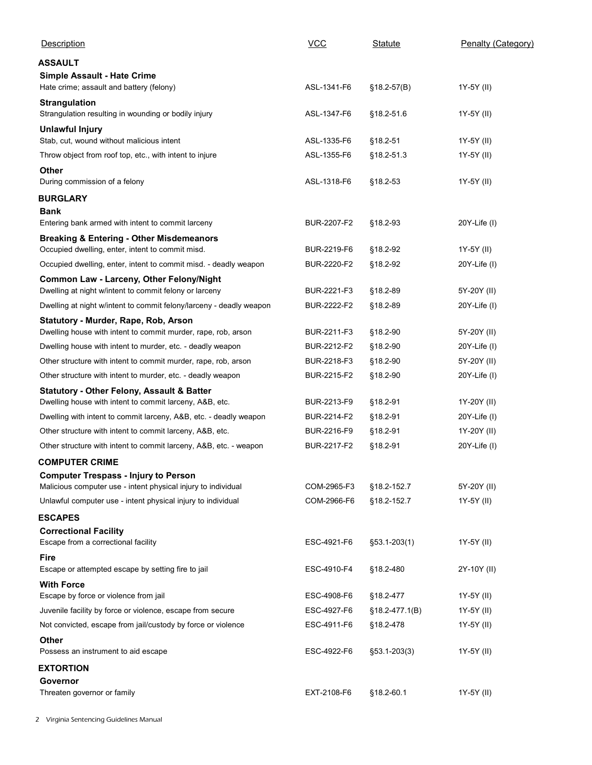| Description                                                                                                                   | $VCC$                      | Statute              | Penalty (Category)          |
|-------------------------------------------------------------------------------------------------------------------------------|----------------------------|----------------------|-----------------------------|
| ASSAULT                                                                                                                       |                            |                      |                             |
| Simple Assault - Hate Crime                                                                                                   |                            |                      |                             |
| Hate crime; assault and battery (felony)<br><b>Strangulation</b>                                                              | ASL-1341-F6                | $$18.2-57(B)$        | 1Y-5Y (II)                  |
| Strangulation resulting in wounding or bodily injury                                                                          | ASL-1347-F6                | §18.2-51.6           | 1Y-5Y (II)                  |
| <b>Unlawful Injury</b><br>Stab, cut, wound without malicious intent                                                           | ASL-1335-F6                | §18.2-51             | 1Y-5Y (II)                  |
| Throw object from roof top, etc., with intent to injure                                                                       | ASL-1355-F6                | §18.2-51.3           | 1Y-5Y (II)                  |
| Other                                                                                                                         |                            |                      |                             |
| During commission of a felony                                                                                                 | ASL-1318-F6                | §18.2-53             | 1Y-5Y (II)                  |
| <b>BURGLARY</b><br><b>Bank</b>                                                                                                |                            |                      |                             |
| Entering bank armed with intent to commit larceny                                                                             | BUR-2207-F2                | §18.2-93             | 20Y-Life (I)                |
| <b>Breaking &amp; Entering - Other Misdemeanors</b>                                                                           |                            |                      |                             |
| Occupied dwelling, enter, intent to commit misd.                                                                              | BUR-2219-F6                | §18.2-92             | 1Y-5Y (II)                  |
| Occupied dwelling, enter, intent to commit misd. - deadly weapon<br>Common Law - Larceny, Other Felony/Night                  | BUR-2220-F2                | §18.2-92             | 20Y-Life (I)                |
| Dwelling at night w/intent to commit felony or larceny                                                                        | BUR-2221-F3                | §18.2-89             | 5Y-20Y (II)                 |
| Dwelling at night w/intent to commit felony/larceny - deadly weapon                                                           | BUR-2222-F2                | §18.2-89             | 20Y-Life (I)                |
| Statutory - Murder, Rape, Rob, Arson<br>Dwelling house with intent to commit murder, rape, rob, arson                         | BUR-2211-F3                | §18.2-90             | 5Y-20Y (II)                 |
| Dwelling house with intent to murder, etc. - deadly weapon                                                                    | BUR-2212-F2                | §18.2-90             | 20Y-Life (I)                |
| Other structure with intent to commit murder, rape, rob, arson                                                                | BUR-2218-F3                | §18.2-90             | 5Y-20Y (II)                 |
| Other structure with intent to murder, etc. - deadly weapon                                                                   | BUR-2215-F2                | §18.2-90             | 20Y-Life (I)                |
| <b>Statutory - Other Felony, Assault &amp; Batter</b>                                                                         |                            |                      |                             |
| Dwelling house with intent to commit larceny, A&B, etc.                                                                       | BUR-2213-F9                | §18.2-91             | 1Y-20Y (II)                 |
| Dwelling with intent to commit larceny, A&B, etc. - deadly weapon                                                             | BUR-2214-F2                | §18.2-91             | 20Y-Life (I)                |
| Other structure with intent to commit larceny, A&B, etc.<br>Other structure with intent to commit larceny, A&B, etc. - weapon | BUR-2216-F9<br>BUR-2217-F2 | §18.2-91<br>§18.2-91 | 1Y-20Y (II)<br>20Y-Life (I) |
| <b>COMPUTER CRIME</b>                                                                                                         |                            |                      |                             |
| <b>Computer Trespass - Injury to Person</b>                                                                                   |                            |                      |                             |
| Malicious computer use - intent physical injury to individual                                                                 | COM-2965-F3                | §18.2-152.7          | 5Y-20Y (II)                 |
| Unlawful computer use - intent physical injury to individual                                                                  | COM-2966-F6                | §18.2-152.7          | 1Y-5Y (II)                  |
| <b>ESCAPES</b><br><b>Correctional Facility</b>                                                                                |                            |                      |                             |
| Escape from a correctional facility                                                                                           | ESC-4921-F6                | $$53.1 - 203(1)$     | 1Y-5Y (II)                  |
| Fire                                                                                                                          |                            |                      |                             |
| Escape or attempted escape by setting fire to jail                                                                            | ESC-4910-F4                | §18.2-480            | 2Y-10Y (II)                 |
| <b>With Force</b><br>Escape by force or violence from jail                                                                    | ESC-4908-F6                | §18.2-477            | 1Y-5Y (II)                  |
| Juvenile facility by force or violence, escape from secure                                                                    | ESC-4927-F6                | $§18.2-477.1(B)$     | 1Y-5Y (II)                  |
| Not convicted, escape from jail/custody by force or violence                                                                  | ESC-4911-F6                | §18.2-478            | 1Y-5Y (II)                  |
| Other                                                                                                                         |                            |                      |                             |
| Possess an instrument to aid escape                                                                                           | ESC-4922-F6                | $$53.1 - 203(3)$     | 1Y-5Y (II)                  |
| <b>EXTORTION</b><br>Governor                                                                                                  |                            |                      |                             |
| Threaten governor or family                                                                                                   | EXT-2108-F6                |                      |                             |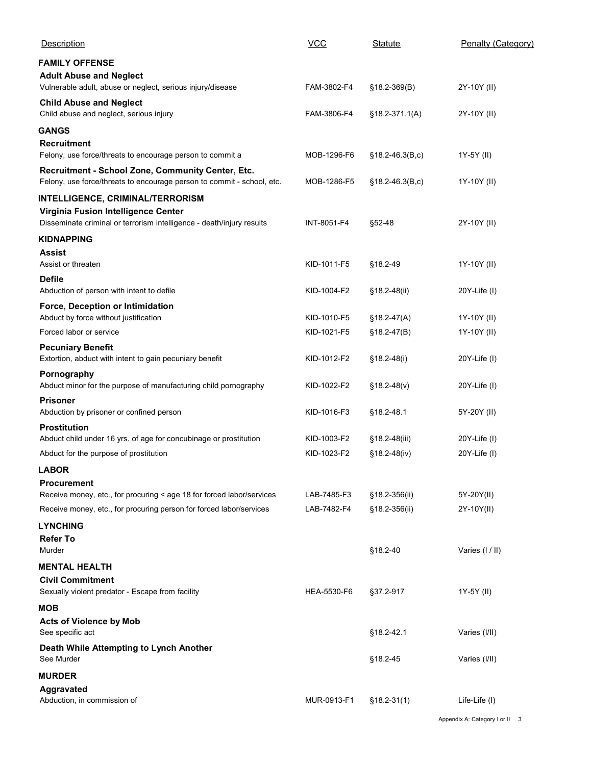| Description                                                                                                                 | $VCC$                    | <b>Statute</b>                  | Penalty (Category) |
|-----------------------------------------------------------------------------------------------------------------------------|--------------------------|---------------------------------|--------------------|
| <b>FAMILY OFFENSE</b>                                                                                                       |                          |                                 |                    |
| <b>Adult Abuse and Neglect</b><br>Vulnerable adult, abuse or neglect, serious injury/disease                                | FAM-3802-F4              | §18.2-369(B)                    | 2Y-10Y (II)        |
| <b>Child Abuse and Neglect</b><br>Child abuse and neglect, serious injury                                                   | FAM-3806-F4              | §18.2-371.1(A)                  | 2Y-10Y (II)        |
| <b>GANGS</b>                                                                                                                |                          |                                 |                    |
| <b>Recruitment</b><br>Felony, use force/threats to encourage person to commit a                                             | MOB-1296-F6              | $§18.2-46.3(B,c)$               | 1Y-5Y (II)         |
| Recruitment - School Zone, Community Center, Etc.<br>Felony, use force/threats to encourage person to commit - school, etc. | MOB-1286-F5              | $$18.2 - 46.3(B,c)$             | 1Y-10Y (II)        |
| INTELLIGENCE, CRIMINAL/TERRORISM                                                                                            |                          |                                 |                    |
| Virginia Fusion Intelligence Center<br>Disseminate criminal or terrorism intelligence - death/injury results                | INT-8051-F4              | §52-48                          | 2Y-10Y (II)        |
| KIDNAPPING                                                                                                                  |                          |                                 |                    |
| Assist<br>Assist or threaten                                                                                                | KID-1011-F5              | §18.2-49                        | 1Y-10Y (II)        |
| <b>Defile</b><br>Abduction of person with intent to defile                                                                  | KID-1004-F2              | §18.2-48(ii)                    | 20Y-Life (I)       |
| Force, Deception or Intimidation                                                                                            |                          |                                 |                    |
| Abduct by force without justification                                                                                       | KID-1010-F5              | §18.2-47(A)                     | 1Y-10Y (II)        |
| Forced labor or service                                                                                                     | KID-1021-F5              | $$18.2-47(B)$                   | 1Y-10Y (II)        |
| <b>Pecuniary Benefit</b><br>Extortion, abduct with intent to gain pecuniary benefit                                         | KID-1012-F2              | §18.2-48(i)                     | $20Y$ -Life $(1)$  |
| Pornography<br>Abduct minor for the purpose of manufacturing child pornography                                              | KID-1022-F2              | $$18.2-48(v)$                   | 20Y-Life (I)       |
| <b>Prisoner</b><br>Abduction by prisoner or confined person                                                                 | KID-1016-F3              | §18.2-48.1                      | 5Y-20Y (II)        |
| <b>Prostitution</b><br>Abduct child under 16 yrs. of age for concubinage or prostitution                                    | KID-1003-F2              |                                 | 20Y-Life (I)       |
| Abduct for the purpose of prostitution                                                                                      | KID-1023-F2              | §18.2-48(iii)<br>$$18.2-48(iv)$ | $20Y$ -Life $(I)$  |
| <b>LABOR</b>                                                                                                                |                          |                                 |                    |
| <b>Procurement</b>                                                                                                          |                          |                                 |                    |
| Receive money, etc., for procuring < age 18 for forced labor/services                                                       | LAB-7485-F3              | §18.2-356(ii)                   | 5Y-20Y(II)         |
| Receive money, etc., for procuring person for forced labor/services                                                         | LAB-7482-F4              | §18.2-356(ii)                   | 2Y-10Y(II)         |
| <b>LYNCHING</b><br><b>Refer To</b>                                                                                          |                          |                                 |                    |
| Murder                                                                                                                      |                          | §18.2-40                        | Varies (I / II)    |
| <b>MENTAL HEALTH</b><br><b>Civil Commitment</b>                                                                             |                          |                                 |                    |
| Sexually violent predator - Escape from facility                                                                            | HEA-5530-F6              | §37.2-917                       | 1Y-5Y (II)         |
| MOB<br><b>Acts of Violence by Mob</b>                                                                                       |                          |                                 |                    |
| See specific act<br>Death While Attempting to Lynch Another                                                                 |                          | §18.2-42.1                      | Varies (I/II)      |
| See Murder<br><b>MURDER</b>                                                                                                 |                          | §18.2-45                        | Varies (I/II)      |
| <b>Aggravated</b>                                                                                                           | MUR-0913-F1  §18.2-31(1) |                                 | Life-Life (I)      |
| Abduction, in commission of                                                                                                 |                          |                                 |                    |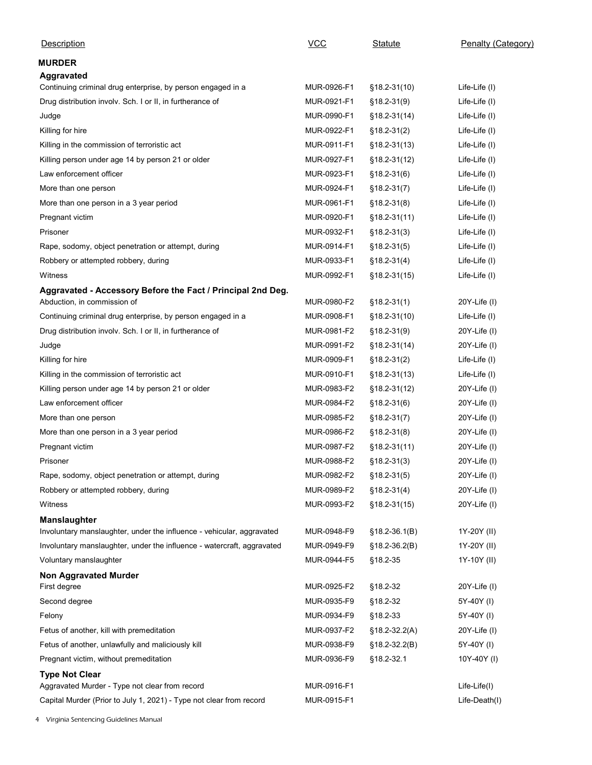| Description                                                                                  | $VCC$       | <b>Statute</b>   | Penalty (Category) |
|----------------------------------------------------------------------------------------------|-------------|------------------|--------------------|
| <b>MURDER</b>                                                                                |             |                  |                    |
| <b>Aggravated</b>                                                                            |             |                  |                    |
| Continuing criminal drug enterprise, by person engaged in a                                  | MUR-0926-F1 | §18.2-31(10)     | Life-Life (I)      |
| Drug distribution involv. Sch. I or II, in furtherance of                                    | MUR-0921-F1 | $$18.2 - 31(9)$  | Life-Life (I)      |
| Judge                                                                                        | MUR-0990-F1 | §18.2-31(14)     | Life-Life (I)      |
| Killing for hire                                                                             | MUR-0922-F1 | $$18.2-31(2)$    | Life-Life (I)      |
| Killing in the commission of terroristic act                                                 | MUR-0911-F1 | §18.2-31(13)     | Life-Life (I)      |
| Killing person under age 14 by person 21 or older                                            | MUR-0927-F1 | $$18.2-31(12)$   | Life-Life (I)      |
| Law enforcement officer                                                                      | MUR-0923-F1 | $§18.2-31(6)$    | Life-Life (I)      |
| More than one person                                                                         | MUR-0924-F1 | $$18.2 - 31(7)$  | Life-Life (I)      |
| More than one person in a 3 year period                                                      | MUR-0961-F1 | $§18.2-31(8)$    | Life-Life (I)      |
|                                                                                              | MUR-0920-F1 | $$18.2-31(11)$   |                    |
| Pregnant victim<br>Prisoner                                                                  | MUR-0932-F1 |                  | Life-Life (I)      |
|                                                                                              |             | $$18.2 - 31(3)$  | Life-Life (I)      |
| Rape, sodomy, object penetration or attempt, during                                          | MUR-0914-F1 | $§18.2-31(5)$    | Life-Life (I)      |
| Robbery or attempted robbery, during                                                         | MUR-0933-F1 | $$18.2 - 31(4)$  | Life-Life (I)      |
| Witness                                                                                      | MUR-0992-F1 | $$18.2 - 31(15)$ | Life-Life (I)      |
| Aggravated - Accessory Before the Fact / Principal 2nd Deg.                                  |             |                  |                    |
| Abduction, in commission of                                                                  | MUR-0980-F2 | $$18.2 - 31(1)$  | 20Y-Life (I)       |
| Continuing criminal drug enterprise, by person engaged in a                                  | MUR-0908-F1 | §18.2-31(10)     | Life-Life (I)      |
| Drug distribution involv. Sch. I or II, in furtherance of                                    | MUR-0981-F2 | §18.2-31(9)      | 20Y-Life (I)       |
| Judge                                                                                        | MUR-0991-F2 | $$18.2 - 31(14)$ | 20Y-Life (I)       |
| Killing for hire                                                                             | MUR-0909-F1 | $$18.2 - 31(2)$  | Life-Life (I)      |
| Killing in the commission of terroristic act                                                 | MUR-0910-F1 | $$18.2 - 31(13)$ | Life-Life (I)      |
| Killing person under age 14 by person 21 or older                                            | MUR-0983-F2 | $$18.2-31(12)$   | 20Y-Life (I)       |
| Law enforcement officer                                                                      | MUR-0984-F2 | $$18.2 - 31(6)$  | 20Y-Life (I)       |
| More than one person                                                                         | MUR-0985-F2 | $$18.2 - 31(7)$  | 20Y-Life (I)       |
| More than one person in a 3 year period                                                      | MUR-0986-F2 | $$18.2 - 31(8)$  | 20Y-Life (I)       |
| Pregnant victim                                                                              | MUR-0987-F2 | §18.2-31(11)     | 20Y-Life (I)       |
| Prisoner                                                                                     | MUR-0988-F2 | $$18.2 - 31(3)$  | 20Y-Life (I)       |
| Rape, sodomy, object penetration or attempt, during                                          | MUR-0982-F2 | $$18.2 - 31(5)$  | 20Y-Life (I)       |
| Robbery or attempted robbery, during                                                         | MUR-0989-F2 | $$18.2 - 31(4)$  | 20Y-Life (I)       |
| Witness                                                                                      | MUR-0993-F2 | §18.2-31(15)     | 20Y-Life (I)       |
|                                                                                              |             |                  |                    |
| <b>Manslaughter</b><br>Involuntary manslaughter, under the influence - vehicular, aggravated | MUR-0948-F9 | $$18.2-36.1(B)$  | 1Y-20Y (II)        |
| Involuntary manslaughter, under the influence - watercraft, aggravated                       | MUR-0949-F9 | $$18.2-36.2(B)$  | 1Y-20Y (II)        |
|                                                                                              |             |                  |                    |
| Voluntary manslaughter                                                                       | MUR-0944-F5 | §18.2-35         | 1Y-10Y (II)        |
| <b>Non Aggravated Murder</b>                                                                 | MUR-0925-F2 | §18.2-32         | 20Y-Life (I)       |
| First degree                                                                                 |             |                  |                    |
| Second degree                                                                                | MUR-0935-F9 | §18.2-32         | 5Y-40Y (I)         |
| Felony                                                                                       | MUR-0934-F9 | §18.2-33         | 5Y-40Y (I)         |
| Fetus of another, kill with premeditation                                                    | MUR-0937-F2 | §18.2-32.2(A)    | 20Y-Life (I)       |
| Fetus of another, unlawfully and maliciously kill                                            | MUR-0938-F9 | §18.2-32.2(B)    | 5Y-40Y (I)         |
| Pregnant victim, without premeditation                                                       | MUR-0936-F9 | §18.2-32.1       | 10Y-40Y (I)        |
| <b>Type Not Clear</b>                                                                        |             |                  |                    |
| Aggravated Murder - Type not clear from record                                               | MUR-0916-F1 |                  | Life-Life(I)       |
| Capital Murder (Prior to July 1, 2021) - Type not clear from record                          | MUR-0915-F1 |                  | Life-Death(I)      |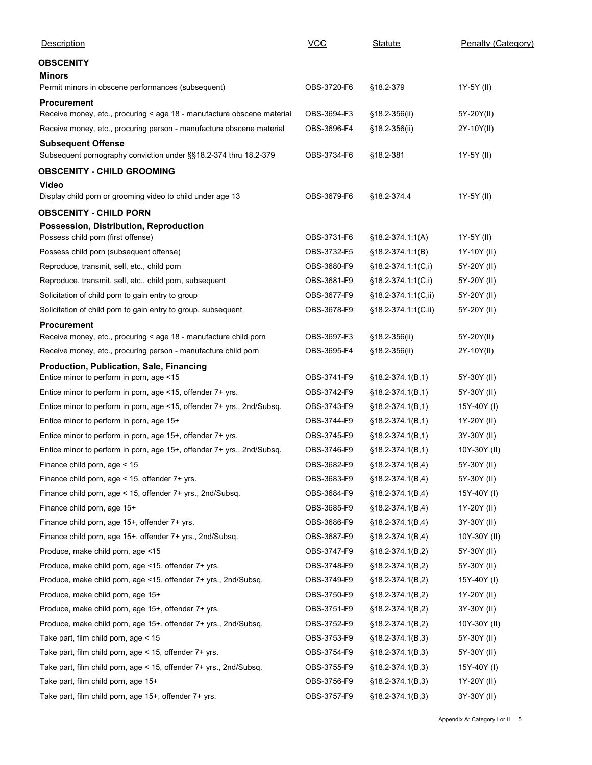| Description                                                                  | $VCC$       | <b>Statute</b>        | Penalty (Category) |
|------------------------------------------------------------------------------|-------------|-----------------------|--------------------|
|                                                                              |             |                       |                    |
| <b>OBSCENITY</b><br>Minors                                                   |             |                       |                    |
| Permit minors in obscene performances (subsequent)                           | OBS-3720-F6 | §18.2-379             | 1Y-5Y (II)         |
| <b>Procurement</b>                                                           |             |                       |                    |
| Receive money, etc., procuring < age 18 - manufacture obscene material       | OBS-3694-F3 | §18.2-356(ii)         | 5Y-20Y(II)         |
| Receive money, etc., procuring person - manufacture obscene material         | OBS-3696-F4 | §18.2-356(ii)         | 2Y-10Y(II)         |
| <b>Subsequent Offense</b>                                                    |             |                       |                    |
| Subsequent pornography conviction under §§18.2-374 thru 18.2-379             | OBS-3734-F6 | §18.2-381             | 1Y-5Y (II)         |
| <b>OBSCENITY - CHILD GROOMING</b>                                            |             |                       |                    |
| Video                                                                        |             |                       |                    |
| Display child porn or grooming video to child under age 13                   | OBS-3679-F6 | §18.2-374.4           | 1Y-5Y (II)         |
| <b>OBSCENITY - CHILD PORN</b>                                                |             |                       |                    |
| Possession, Distribution, Reproduction<br>Possess child porn (first offense) | OBS-3731-F6 | $§18.2-374.1:1(A)$    | 1Y-5Y (II)         |
| Possess child porn (subsequent offense)                                      | OBS-3732-F5 | $§18.2-374.1:1(B)$    | 1Y-10Y (II)        |
| Reproduce, transmit, sell, etc., child porn                                  | OBS-3680-F9 | §18.2-374.1:1(C,i)    | 5Y-20Y (II)        |
| Reproduce, transmit, sell, etc., child porn, subsequent                      | OBS-3681-F9 | $§18.2-374.1.1(C,i)$  | 5Y-20Y (II)        |
| Solicitation of child porn to gain entry to group                            | OBS-3677-F9 | §18.2-374.1:1(C,ii)   | 5Y-20Y (II)        |
| Solicitation of child porn to gain entry to group, subsequent                | OBS-3678-F9 | $§18.2-374.1:1(C,ii)$ | 5Y-20Y (II)        |
| Procurement                                                                  |             |                       |                    |
| Receive money, etc., procuring < age 18 - manufacture child porn             | OBS-3697-F3 | §18.2-356(ii)         | 5Y-20Y(II)         |
| Receive money, etc., procuring person - manufacture child porn               | OBS-3695-F4 | §18.2-356(ii)         | 2Y-10Y(II)         |
| Production, Publication, Sale, Financing                                     |             |                       |                    |
| Entice minor to perform in porn, age <15                                     | OBS-3741-F9 | $§18.2-374.1(B,1)$    | 5Y-30Y (II)        |
| Entice minor to perform in porn, age <15, offender 7+ yrs.                   | OBS-3742-F9 | $§18.2-374.1(B,1)$    | 5Y-30Y (II)        |
| Entice minor to perform in porn, age <15, offender 7+ yrs., 2nd/Subsq.       | OBS-3743-F9 | $§18.2-374.1(B,1)$    | 15Y-40Y (I)        |
| Entice minor to perform in porn, age 15+                                     | OBS-3744-F9 | $§18.2-374.1(B,1)$    | 1Y-20Y (II)        |
| Entice minor to perform in porn, age 15+, offender 7+ yrs.                   | OBS-3745-F9 | $§18.2-374.1(B,1)$    | 3Y-30Y (II)        |
| Entice minor to perform in porn, age 15+, offender 7+ yrs., 2nd/Subsq.       | OBS-3746-F9 | $§18.2-374.1(B,1)$    | 10Y-30Y (II)       |
| Finance child porn, age < 15                                                 | OBS-3682-F9 | $§18.2-374.1(B,4)$    | 5Y-30Y (II)        |
| Finance child porn, age < 15, offender 7+ yrs.                               | OBS-3683-F9 | $§18.2-374.1(B,4)$    | 5Y-30Y (II)        |
| Finance child porn, age < 15, offender 7+ yrs., 2nd/Subsq.                   | OBS-3684-F9 | $§18.2-374.1(B,4)$    | 15Y-40Y (I)        |
| Finance child porn, age 15+                                                  | OBS-3685-F9 | $§18.2-374.1(B,4)$    | 1Y-20Y (II)        |
| Finance child porn, age 15+, offender 7+ yrs.                                | OBS-3686-F9 | $§18.2-374.1(B,4)$    | 3Y-30Y (II)        |
| Finance child porn, age 15+, offender 7+ yrs., 2nd/Subsq.                    | OBS-3687-F9 | §18.2-374.1(B,4)      | 10Y-30Y (II)       |
| Produce, make child porn, age <15                                            | OBS-3747-F9 | $§18.2-374.1(B,2)$    | 5Y-30Y (II)        |
| Produce, make child porn, age <15, offender 7+ yrs.                          | OBS-3748-F9 | $§18.2-374.1(B,2)$    | 5Y-30Y (II)        |
| Produce, make child porn, age <15, offender 7+ yrs., 2nd/Subsq.              | OBS-3749-F9 | $§18.2-374.1(B,2)$    | 15Y-40Y (I)        |
| Produce, make child porn, age 15+                                            | OBS-3750-F9 | $§18.2-374.1(B,2)$    | 1Y-20Y (II)        |
| Produce, make child porn, age 15+, offender 7+ yrs.                          | OBS-3751-F9 | $§18.2-374.1(B,2)$    | 3Y-30Y (II)        |
| Produce, make child porn, age 15+, offender 7+ yrs., 2nd/Subsq.              | OBS-3752-F9 | $§18.2-374.1(B,2)$    | 10Y-30Y (II)       |
| Take part, film child porn, age < 15                                         | OBS-3753-F9 | $§18.2-374.1(B,3)$    | 5Y-30Y (II)        |
| Take part, film child porn, age < 15, offender 7+ yrs.                       | OBS-3754-F9 | $§18.2-374.1(B,3)$    | 5Y-30Y (II)        |
| Take part, film child porn, age < 15, offender 7+ yrs., 2nd/Subsq.           | OBS-3755-F9 | $§18.2-374.1(B,3)$    | 15Y-40Y (I)        |
| Take part, film child porn, age 15+                                          | OBS-3756-F9 | $§18.2-374.1(B,3)$    | 1Y-20Y (II)        |
| Take part, film child porn, age 15+, offender 7+ yrs.                        | OBS-3757-F9 | $§18.2-374.1(B,3)$    | 3Y-30Y (II)        |
|                                                                              |             |                       |                    |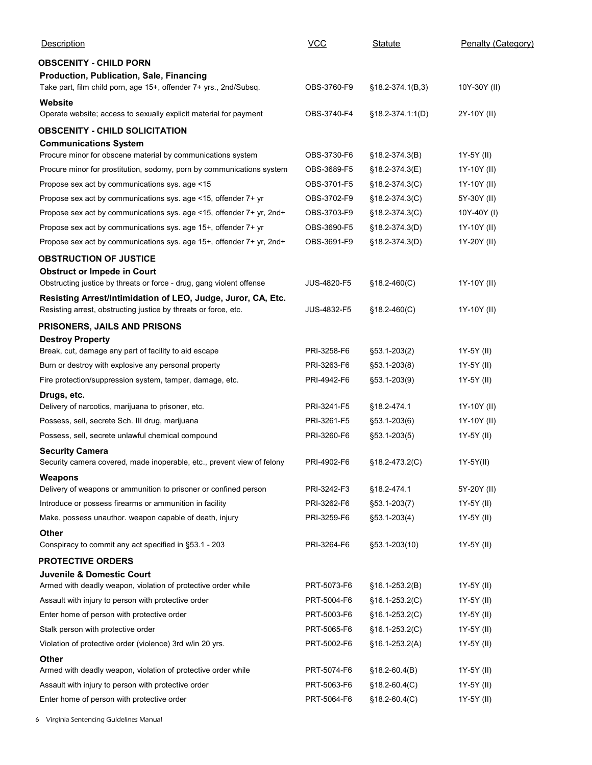|                                                                                                                                                | <b>VCC</b>  |                    |                    |
|------------------------------------------------------------------------------------------------------------------------------------------------|-------------|--------------------|--------------------|
| <b>Description</b>                                                                                                                             |             | Statute            | Penalty (Category) |
| <b>OBSCENITY - CHILD PORN</b><br>Production, Publication, Sale, Financing<br>Take part, film child porn, age 15+, offender 7+ yrs., 2nd/Subsq. | OBS-3760-F9 | $§18.2-374.1(B,3)$ | 10Y-30Y (II)       |
| Website<br>Operate website; access to sexually explicit material for payment                                                                   | OBS-3740-F4 | §18.2-374.1:1(D)   | 2Y-10Y (II)        |
| <b>OBSCENITY - CHILD SOLICITATION</b>                                                                                                          |             |                    |                    |
| <b>Communications System</b><br>Procure minor for obscene material by communications system                                                    | OBS-3730-F6 | $§18.2-374.3(B)$   | 1Y-5Y (II)         |
| Procure minor for prostitution, sodomy, porn by communications system                                                                          | OBS-3689-F5 | §18.2-374.3(E)     | 1Y-10Y (II)        |
| Propose sex act by communications sys. age <15                                                                                                 | OBS-3701-F5 | $§18.2-374.3(C)$   | 1Y-10Y (II)        |
| Propose sex act by communications sys. age <15, offender 7+ yr                                                                                 | OBS-3702-F9 | $§18.2-374.3(C)$   | 5Y-30Y (II)        |
| Propose sex act by communications sys. age <15, offender 7+ yr, 2nd+                                                                           | OBS-3703-F9 | $§18.2-374.3(C)$   | 10Y-40Y (I)        |
| Propose sex act by communications sys. age 15+, offender 7+ yr                                                                                 | OBS-3690-F5 | $§18.2-374.3(D)$   | 1Y-10Y (II)        |
| Propose sex act by communications sys. age 15+, offender 7+ yr, 2nd+                                                                           | OBS-3691-F9 | $§18.2-374.3(D)$   | 1Y-20Y (II)        |
| <b>OBSTRUCTION OF JUSTICE</b>                                                                                                                  |             |                    |                    |
| <b>Obstruct or Impede in Court</b>                                                                                                             |             |                    |                    |
| Obstructing justice by threats or force - drug, gang violent offense                                                                           | JUS-4820-F5 | $$18.2-460(C)$     | 1Y-10Y (II)        |
| Resisting Arrest/Intimidation of LEO, Judge, Juror, CA, Etc.<br>Resisting arrest, obstructing justice by threats or force, etc.                | JUS-4832-F5 | $§18.2-460(C)$     | 1Y-10Y (II)        |
| PRISONERS, JAILS AND PRISONS                                                                                                                   |             |                    |                    |
| <b>Destroy Property</b>                                                                                                                        |             |                    |                    |
| Break, cut, damage any part of facility to aid escape                                                                                          | PRI-3258-F6 | §53.1-203(2)       | 1Y-5Y (II)         |
| Burn or destroy with explosive any personal property                                                                                           | PRI-3263-F6 | §53.1-203(8)       | 1Y-5Y (II)         |
| Fire protection/suppression system, tamper, damage, etc.                                                                                       | PRI-4942-F6 | §53.1-203(9)       | 1Y-5Y (II)         |
| Drugs, etc.                                                                                                                                    |             |                    |                    |
| Delivery of narcotics, marijuana to prisoner, etc.                                                                                             | PRI-3241-F5 | §18.2-474.1        | 1Y-10Y (II)        |
| Possess, sell, secrete Sch. III drug, marijuana                                                                                                | PRI-3261-F5 | §53.1-203(6)       | 1Y-10Y (II)        |
| Possess, sell, secrete unlawful chemical compound                                                                                              | PRI-3260-F6 | §53.1-203(5)       | 1Y-5Y (II)         |
| <b>Security Camera</b><br>Security camera covered, made inoperable, etc., prevent view of felony                                               | PRI-4902-F6 | $§18.2 - 473.2(C)$ | 1Y-5Y(II)          |
| Weapons                                                                                                                                        |             |                    |                    |
| Delivery of weapons or ammunition to prisoner or confined person                                                                               | PRI-3242-F3 | §18.2-474.1        | 5Y-20Y (II)        |
| Introduce or possess firearms or ammunition in facility                                                                                        | PRI-3262-F6 | §53.1-203(7)       | 1Y-5Y (II)         |
| Make, possess unauthor. weapon capable of death, injury                                                                                        | PRI-3259-F6 | §53.1-203(4)       | 1Y-5Y (II)         |
| Other<br>Conspiracy to commit any act specified in §53.1 - 203                                                                                 | PRI-3264-F6 | §53.1-203(10)      | 1Y-5Y (II)         |
|                                                                                                                                                |             |                    |                    |
| <b>PROTECTIVE ORDERS</b><br>Juvenile & Domestic Court                                                                                          |             |                    |                    |
| Armed with deadly weapon, violation of protective order while                                                                                  | PRT-5073-F6 | $$16.1-253.2(B)$   | 1Y-5Y (II)         |
| Assault with injury to person with protective order                                                                                            | PRT-5004-F6 | $§16.1-253.2(C)$   | 1Y-5Y (II)         |
| Enter home of person with protective order                                                                                                     | PRT-5003-F6 | $§16.1-253.2(C)$   | 1Y-5Y (II)         |
| Stalk person with protective order                                                                                                             | PRT-5065-F6 | $§16.1-253.2(C)$   | 1Y-5Y (II)         |
| Violation of protective order (violence) 3rd w/in 20 yrs.                                                                                      | PRT-5002-F6 | $§16.1-253.2(A)$   | 1Y-5Y (II)         |
| <b>Other</b>                                                                                                                                   |             |                    |                    |
| Armed with deadly weapon, violation of protective order while                                                                                  | PRT-5074-F6 | $$18.2 - 60.4(B)$  | 1Y-5Y (II)         |
| Assault with injury to person with protective order                                                                                            | PRT-5063-F6 | $$18.2 - 60.4(C)$  | 1Y-5Y (II)         |
|                                                                                                                                                | PRT-5064-F6 | §18.2-60.4(C)      | 1Y-5Y (II)         |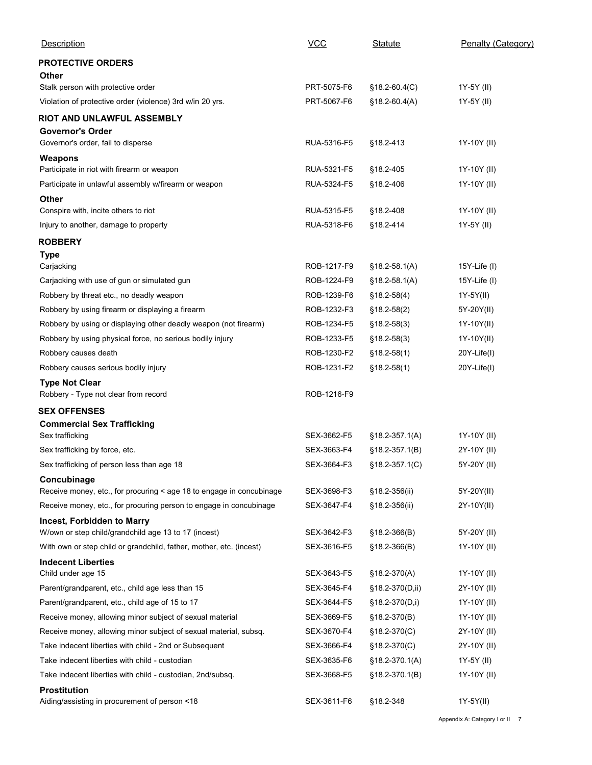| Description                                                                             | $VCC$                      | <b>Statute</b>                     | Penalty (Category)        |
|-----------------------------------------------------------------------------------------|----------------------------|------------------------------------|---------------------------|
| <b>PROTECTIVE ORDERS</b>                                                                |                            |                                    |                           |
| Other                                                                                   |                            |                                    |                           |
| Stalk person with protective order                                                      | PRT-5075-F6                | $$18.2 - 60.4(C)$                  | 1Y-5Y (II)                |
| Violation of protective order (violence) 3rd w/in 20 yrs.                               | PRT-5067-F6                | $$18.2-60.4(A)$                    | 1Y-5Y (II)                |
| RIOT AND UNLAWFUL ASSEMBLY<br><b>Governor's Order</b>                                   |                            |                                    |                           |
| Governor's order, fail to disperse                                                      | RUA-5316-F5                | §18.2-413                          | 1Y-10Y (II)               |
| Weapons                                                                                 |                            |                                    |                           |
| Participate in riot with firearm or weapon                                              | RUA-5321-F5                | §18.2-405                          | 1Y-10Y (II)               |
| Participate in unlawful assembly w/firearm or weapon                                    | RUA-5324-F5                | §18.2-406                          | 1Y-10Y (II)               |
| Other<br>Conspire with, incite others to riot                                           | RUA-5315-F5                | §18.2-408                          | 1Y-10Y (II)               |
| Injury to another, damage to property                                                   | RUA-5318-F6                | §18.2-414                          | 1Y-5Y (II)                |
| <b>ROBBERY</b>                                                                          |                            |                                    |                           |
| <b>Type</b>                                                                             |                            |                                    |                           |
| Carjacking                                                                              | ROB-1217-F9                | $$18.2 - 58.1(A)$                  | 15Y-Life (I)              |
| Carjacking with use of gun or simulated gun<br>Robbery by threat etc., no deadly weapon | ROB-1224-F9<br>ROB-1239-F6 | $$18.2 - 58.1(A)$<br>$$18.2-58(4)$ | 15Y-Life (I)<br>1Y-5Y(II) |
| Robbery by using firearm or displaying a firearm                                        | ROB-1232-F3                | $$18.2-58(2)$                      | 5Y-20Y(II)                |
| Robbery by using or displaying other deadly weapon (not firearm)                        | ROB-1234-F5                | $§18.2-58(3)$                      | 1Y-10Y(II)                |
| Robbery by using physical force, no serious bodily injury                               | ROB-1233-F5                | $$18.2 - 58(3)$                    | 1Y-10Y(II)                |
| Robbery causes death                                                                    | ROB-1230-F2                | $$18.2 - 58(1)$                    | 20Y-Life(I)               |
| Robbery causes serious bodily injury                                                    | ROB-1231-F2                | $$18.2 - 58(1)$                    | 20Y-Life(I)               |
| <b>Type Not Clear</b>                                                                   |                            |                                    |                           |
| Robbery - Type not clear from record                                                    | ROB-1216-F9                |                                    |                           |
| <b>SEX OFFENSES</b>                                                                     |                            |                                    |                           |
| <b>Commercial Sex Trafficking</b><br>Sex trafficking                                    | SEX-3662-F5                | $$18.2 - 357.1(A)$                 | 1Y-10Y (II)               |
| Sex trafficking by force, etc.                                                          | SEX-3663-F4                | $§18.2-357.1(B)$                   | 2Y-10Y (II)               |
| Sex trafficking of person less than age 18                                              | SEX-3664-F3                | $§18.2-357.1(C)$                   | 5Y-20Y (II)               |
| Concubinage                                                                             |                            |                                    |                           |
| Receive money, etc., for procuring < age 18 to engage in concubinage                    | SEX-3698-F3                | §18.2-356(ii)                      | 5Y-20Y(II)                |
| Receive money, etc., for procuring person to engage in concubinage                      | SEX-3647-F4                | §18.2-356(ii)                      | 2Y-10Y(II)                |
| Incest, Forbidden to Marry<br>W/own or step child/grandchild age 13 to 17 (incest)      | SEX-3642-F3                | $§18.2-366(B)$                     | 5Y-20Y (II)               |
| With own or step child or grandchild, father, mother, etc. (incest)                     | SEX-3616-F5                | $$18.2-366(B)$                     | 1Y-10Y (II)               |
| <b>Indecent Liberties</b>                                                               |                            |                                    |                           |
| Child under age 15                                                                      | SEX-3643-F5                | $§18.2-370(A)$                     | 1Y-10Y (II)               |
| Parent/grandparent, etc., child age less than 15                                        | SEX-3645-F4                | §18.2-370(D,ii)                    | 2Y-10Y (II)               |
| Parent/grandparent, etc., child age of 15 to 17                                         | SEX-3644-F5                | $§18.2-370(D,i)$                   | 1Y-10Y (II)               |
| Receive money, allowing minor subject of sexual material                                | SEX-3669-F5                | $§18.2-370(B)$                     | 1Y-10Y (II)               |
| Receive money, allowing minor subject of sexual material, subsq.                        | SEX-3670-F4                | $§18.2-370(C)$                     | 2Y-10Y (II)               |
| Take indecent liberties with child - 2nd or Subsequent                                  | SEX-3666-F4                | $$18.2-370(C)$                     | 2Y-10Y (II)               |
| Take indecent liberties with child - custodian                                          | SEX-3635-F6                | $§18.2-370.1(A)$                   | 1Y-5Y (II)                |
| Take indecent liberties with child - custodian, 2nd/subsq.                              | SEX-3668-F5                | §18.2-370.1(B)                     | 1Y-10Y (II)               |
| <b>Prostitution</b><br>Aiding/assisting in procurement of person <18                    | SEX-3611-F6 §18.2-348      |                                    |                           |
|                                                                                         |                            |                                    | 1Y-5Y(II)                 |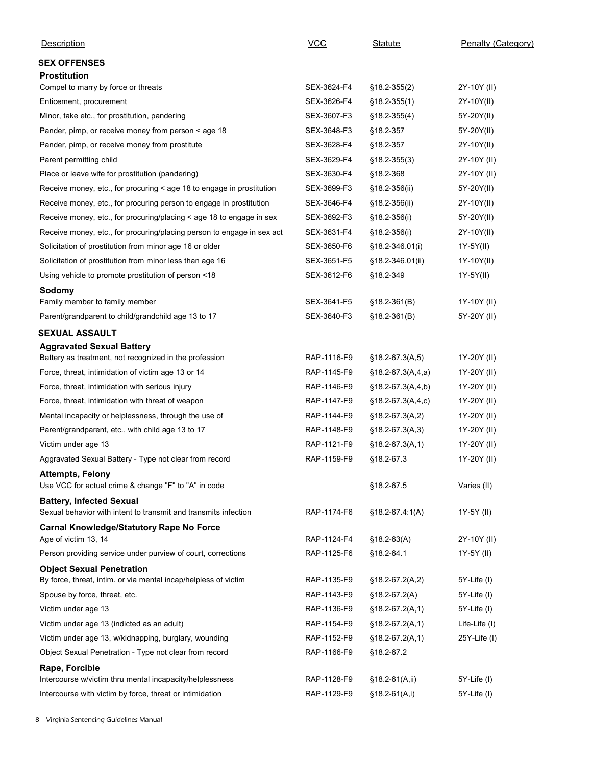| Description                                                                                        | $VCC$       | Statute                          | Penalty (Category)         |
|----------------------------------------------------------------------------------------------------|-------------|----------------------------------|----------------------------|
| <b>SEX OFFENSES</b>                                                                                |             |                                  |                            |
| <b>Prostitution</b>                                                                                |             |                                  |                            |
| Compel to marry by force or threats                                                                | SEX-3624-F4 | §18.2-355(2)                     | 2Y-10Y (II)                |
| Enticement, procurement                                                                            | SEX-3626-F4 | $§18.2-355(1)$                   | 2Y-10Y(II)                 |
| Minor, take etc., for prostitution, pandering                                                      | SEX-3607-F3 | $§18.2-355(4)$                   | 5Y-20Y(II)                 |
| Pander, pimp, or receive money from person < age 18                                                | SEX-3648-F3 | §18.2-357                        | 5Y-20Y(II)                 |
| Pander, pimp, or receive money from prostitute                                                     | SEX-3628-F4 | §18.2-357                        | 2Y-10Y(II)                 |
| Parent permitting child                                                                            | SEX-3629-F4 | $§18.2-355(3)$                   | 2Y-10Y (II)                |
| Place or leave wife for prostitution (pandering)                                                   | SEX-3630-F4 | §18.2-368                        | 2Y-10Y (II)                |
| Receive money, etc., for procuring < age 18 to engage in prostitution                              | SEX-3699-F3 | §18.2-356(ii)                    | 5Y-20Y(II)                 |
| Receive money, etc., for procuring person to engage in prostitution                                | SEX-3646-F4 | §18.2-356(ii)                    | 2Y-10Y(II)                 |
| Receive money, etc., for procuring/placing < age 18 to engage in sex                               | SEX-3692-F3 | $§18.2-356(i)$                   | 5Y-20Y(II)                 |
| Receive money, etc., for procuring/placing person to engage in sex act                             | SEX-3631-F4 | §18.2-356(i)                     | 2Y-10Y(II)                 |
| Solicitation of prostitution from minor age 16 or older                                            | SEX-3650-F6 | §18.2-346.01(i)                  | 1Y-5Y(II)                  |
| Solicitation of prostitution from minor less than age 16                                           | SEX-3651-F5 | §18.2-346.01(ii)                 | 1Y-10Y(II)                 |
| Using vehicle to promote prostitution of person <18                                                | SEX-3612-F6 | §18.2-349                        | 1Y-5Y(II)                  |
| Sodomy                                                                                             | SEX-3641-F5 |                                  |                            |
| Family member to family member<br>Parent/grandparent to child/grandchild age 13 to 17              | SEX-3640-F3 | $$18.2-361(B)$<br>$$18.2-361(B)$ | 1Y-10Y (II)<br>5Y-20Y (II) |
|                                                                                                    |             |                                  |                            |
| SEXUAL ASSAULT                                                                                     |             |                                  |                            |
| <b>Aggravated Sexual Battery</b><br>Battery as treatment, not recognized in the profession         | RAP-1116-F9 | $§18.2-67.3(A,5)$                | 1Y-20Y (II)                |
| Force, threat, intimidation of victim age 13 or 14                                                 | RAP-1145-F9 | $$18.2-67.3(A,4,a)$              | 1Y-20Y (II)                |
| Force, threat, intimidation with serious injury                                                    | RAP-1146-F9 | $§18.2-67.3(A,4,b)$              | 1Y-20Y (II)                |
| Force, threat, intimidation with threat of weapon                                                  | RAP-1147-F9 | $§18.2-67.3(A,4,c)$              | 1Y-20Y (II)                |
| Mental incapacity or helplessness, through the use of                                              | RAP-1144-F9 | $§18.2-67.3(A,2)$                | 1Y-20Y (II)                |
| Parent/grandparent, etc., with child age 13 to 17                                                  | RAP-1148-F9 | $§18.2-67.3(A,3)$                | 1Y-20Y (II)                |
| Victim under age 13                                                                                | RAP-1121-F9 | $§18.2-67.3(A,1)$                | 1Y-20Y (II)                |
| Aggravated Sexual Battery - Type not clear from record                                             | RAP-1159-F9 | §18.2-67.3                       | 1Y-20Y (II)                |
| <b>Attempts, Felony</b>                                                                            |             |                                  |                            |
| Use VCC for actual crime & change "F" to "A" in code                                               |             | §18.2-67.5                       | Varies (II)                |
| <b>Battery, Infected Sexual</b><br>Sexual behavior with intent to transmit and transmits infection | RAP-1174-F6 | $§18.2-67.4.1(A)$                | 1Y-5Y (II)                 |
| <b>Carnal Knowledge/Statutory Rape No Force</b>                                                    |             |                                  |                            |
| Age of victim 13, 14                                                                               | RAP-1124-F4 | $$18.2-63(A)$                    | 2Y-10Y (II)                |
| Person providing service under purview of court, corrections                                       | RAP-1125-F6 | §18.2-64.1                       | 1Y-5Y (II)                 |
| <b>Object Sexual Penetration</b>                                                                   | RAP-1135-F9 |                                  |                            |
| By force, threat, intim. or via mental incap/helpless of victim                                    |             | $$18.2-67.2(A,2)$                | 5Y-Life (I)                |
| Spouse by force, threat, etc.                                                                      | RAP-1143-F9 | $$18.2-67.2(A)$                  | 5Y-Life (I)                |
| Victim under age 13                                                                                | RAP-1136-F9 | $$18.2-67.2(A,1)$                | 5Y-Life (I)                |
| Victim under age 13 (indicted as an adult)                                                         | RAP-1154-F9 | $$18.2-67.2(A,1)$                | Life-Life (I)              |
| Victim under age 13, w/kidnapping, burglary, wounding                                              | RAP-1152-F9 | $§18.2-67.2(A,1)$                | 25Y-Life (I)               |
| Object Sexual Penetration - Type not clear from record                                             | RAP-1166-F9 | §18.2-67.2                       |                            |
| Rape, Forcible<br>Intercourse w/victim thru mental incapacity/helplessness                         | RAP-1128-F9 | $§18.2-61(A, ii)$                | 5Y-Life (I)                |
|                                                                                                    | RAP-1129-F9 | $§18.2-61(A,i)$                  | 5Y-Life (I)                |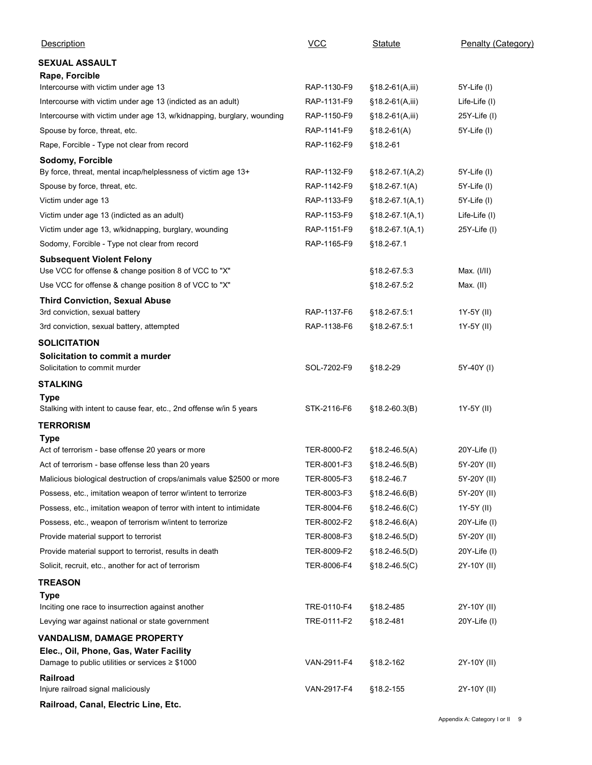| Description                                                                                         | $VCC$       | <b>Statute</b>                       | Penalty (Category)           |
|-----------------------------------------------------------------------------------------------------|-------------|--------------------------------------|------------------------------|
| <b>SEXUAL ASSAULT</b>                                                                               |             |                                      |                              |
| Rape, Forcible                                                                                      | RAP-1130-F9 |                                      |                              |
| Intercourse with victim under age 13<br>Intercourse with victim under age 13 (indicted as an adult) | RAP-1131-F9 | §18.2-61(A,iii)<br>$$18.2-61(A,iii)$ | 5Y-Life (I)<br>Life-Life (I) |
| Intercourse with victim under age 13, w/kidnapping, burglary, wounding                              | RAP-1150-F9 | $§18.2-61(A,iii)$                    | 25Y-Life (I)                 |
| Spouse by force, threat, etc.                                                                       | RAP-1141-F9 | $$18.2-61(A)$                        | 5Y-Life (I)                  |
| Rape, Forcible - Type not clear from record                                                         | RAP-1162-F9 | §18.2-61                             |                              |
| Sodomy, Forcible                                                                                    |             |                                      |                              |
| By force, threat, mental incap/helplessness of victim age 13+                                       | RAP-1132-F9 | $$18.2-67.1(A,2)$                    | 5Y-Life (I)                  |
| Spouse by force, threat, etc.                                                                       | RAP-1142-F9 | $$18.2-67.1(A)$                      | 5Y-Life (I)                  |
| Victim under age 13                                                                                 | RAP-1133-F9 | $$18.2-67.1(A,1)$                    | 5Y-Life (I)                  |
| Victim under age 13 (indicted as an adult)                                                          | RAP-1153-F9 | $§18.2-67.1(A,1)$                    | Life-Life (I)                |
| Victim under age 13, w/kidnapping, burglary, wounding                                               | RAP-1151-F9 | $$18.2-67.1(A,1)$                    | 25Y-Life (I)                 |
| Sodomy, Forcible - Type not clear from record                                                       | RAP-1165-F9 | §18.2-67.1                           |                              |
| <b>Subsequent Violent Felony</b><br>Use VCC for offense & change position 8 of VCC to "X"           |             | §18.2-67.5:3                         | Max. (I/II)                  |
| Use VCC for offense & change position 8 of VCC to "X"                                               |             | §18.2-67.5:2                         | Max. (II)                    |
| <b>Third Conviction, Sexual Abuse</b>                                                               |             |                                      |                              |
| 3rd conviction, sexual battery                                                                      | RAP-1137-F6 | §18.2-67.5:1                         | 1Y-5Y (II)                   |
| 3rd conviction, sexual battery, attempted                                                           | RAP-1138-F6 | §18.2-67.5.1                         | 1Y-5Y (II)                   |
| <b>SOLICITATION</b>                                                                                 |             |                                      |                              |
| Solicitation to commit a murder                                                                     |             |                                      |                              |
| Solicitation to commit murder                                                                       | SOL-7202-F9 | §18.2-29                             | 5Y-40Y (I)                   |
| <b>STALKING</b>                                                                                     |             |                                      |                              |
| <b>Type</b>                                                                                         |             |                                      |                              |
| Stalking with intent to cause fear, etc., 2nd offense w/in 5 years                                  | STK-2116-F6 | $$18.2 - 60.3(B)$                    | 1Y-5Y (II)                   |
| <b>TERRORISM</b>                                                                                    |             |                                      |                              |
| <b>Type</b><br>Act of terrorism - base offense 20 years or more                                     | TER-8000-F2 | $$18.2 - 46.5(A)$                    | 20Y-Life (I)                 |
| Act of terrorism - base offense less than 20 years                                                  | TER-8001-F3 | $$18.2 - 46.5(B)$                    | 5Y-20Y (II)                  |
| Malicious biological destruction of crops/animals value \$2500 or more                              | TER-8005-F3 | §18.2-46.7                           | 5Y-20Y (II)                  |
| Possess, etc., imitation weapon of terror w/intent to terrorize                                     | TER-8003-F3 | $$18.2 - 46.6(B)$                    | 5Y-20Y (II)                  |
| Possess, etc., imitation weapon of terror with intent to intimidate                                 | TER-8004-F6 | $$18.2 - 46.6(C)$                    | 1Y-5Y (II)                   |
| Possess, etc., weapon of terrorism w/intent to terrorize                                            | TER-8002-F2 | $$18.2 - 46.6(A)$                    | 20Y-Life (I)                 |
| Provide material support to terrorist                                                               | TER-8008-F3 | $$18.2 - 46.5(D)$                    | 5Y-20Y (II)                  |
| Provide material support to terrorist, results in death                                             | TER-8009-F2 | $$18.2-46.5(D)$                      | 20Y-Life (I)                 |
| Solicit, recruit, etc., another for act of terrorism                                                | TER-8006-F4 | $$18.2 - 46.5(C)$                    | 2Y-10Y (II)                  |
| <b>TREASON</b>                                                                                      |             |                                      |                              |
| <b>Type</b>                                                                                         |             |                                      |                              |
| Inciting one race to insurrection against another                                                   | TRE-0110-F4 | §18.2-485                            | 2Y-10Y (II)                  |
| Levying war against national or state government                                                    | TRE-0111-F2 | §18.2-481                            | $20Y$ -Life $(1)$            |
| <b>VANDALISM, DAMAGE PROPERTY</b><br>Elec., Oil, Phone, Gas, Water Facility                         |             |                                      |                              |
| Damage to public utilities or services $\geq$ \$1000                                                | VAN-2911-F4 | §18.2-162                            | 2Y-10Y (II)                  |
| Railroad<br>Injure railroad signal maliciously                                                      | VAN-2917-F4 | §18.2-155                            | 2Y-10Y (II)                  |
| Railroad, Canal, Electric Line, Etc.                                                                |             |                                      |                              |
|                                                                                                     |             |                                      |                              |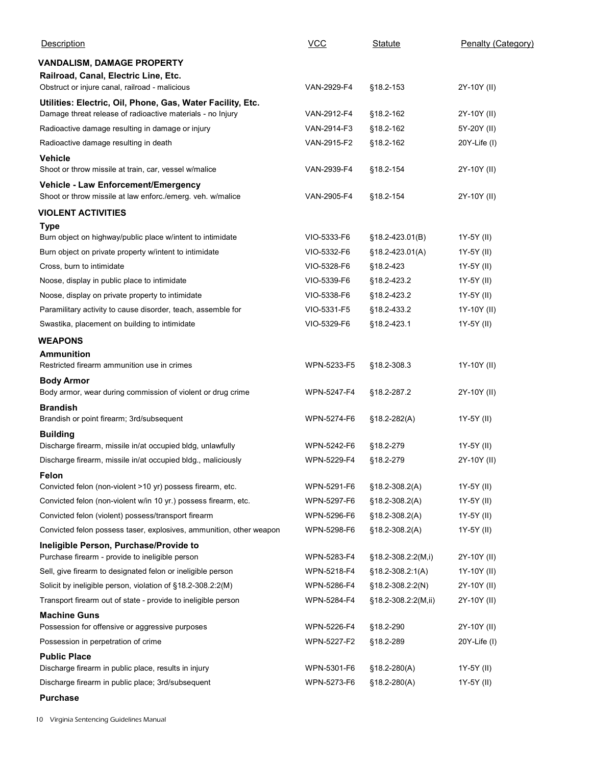| $VCC$<br>Description<br>Penalty (Category)<br>Statute<br>VANDALISM, DAMAGE PROPERTY<br>Railroad, Canal, Electric Line, Etc.<br>Obstruct or injure canal, railroad - malicious<br>VAN-2929-F4<br>§18.2-153<br>2Y-10Y (II)<br>Utilities: Electric, Oil, Phone, Gas, Water Facility, Etc.<br>Damage threat release of radioactive materials - no Injury<br>VAN-2912-F4<br>§18.2-162<br>2Y-10Y (II)<br>Radioactive damage resulting in damage or injury<br>VAN-2914-F3<br>§18.2-162<br>5Y-20Y (II)<br>Radioactive damage resulting in death<br>VAN-2915-F2<br>§18.2-162<br>$20Y$ -Life (I)<br><b>Vehicle</b><br>Shoot or throw missile at train, car, vessel w/malice<br>VAN-2939-F4<br>§18.2-154<br>2Y-10Y (II)<br>Vehicle - Law Enforcement/Emergency<br>Shoot or throw missile at law enforc./emerg. veh. w/malice<br>VAN-2905-F4<br>2Y-10Y (II)<br>§18.2-154<br><b>VIOLENT ACTIVITIES</b><br><b>Type</b><br>Burn object on highway/public place w/intent to intimidate<br>VIO-5333-F6<br>§18.2-423.01(B)<br>1Y-5Y (II)<br>VIO-5332-F6<br>Burn object on private property w/intent to intimidate<br>$§18.2 - 423.01(A)$<br>1Y-5Y (II)<br>VIO-5328-F6<br>§18.2-423<br>1Y-5Y (II)<br>Cross, burn to intimidate<br>VIO-5339-F6<br>§18.2-423.2<br>1Y-5Y (II)<br>Noose, display in public place to intimidate<br>Noose, display on private property to intimidate<br>VIO-5338-F6<br>§18.2-423.2<br>1Y-5Y (II)<br>Paramilitary activity to cause disorder, teach, assemble for<br>VIO-5331-F5<br>§18.2-433.2<br>1Y-10Y (II)<br>Swastika, placement on building to intimidate<br>VIO-5329-F6<br>1Y-5Y (II)<br>§18.2-423.1<br><b>WEAPONS</b><br><b>Ammunition</b><br>Restricted firearm ammunition use in crimes<br>WPN-5233-F5<br>§18.2-308.3<br>1Y-10Y (II)<br><b>Body Armor</b><br>Body armor, wear during commission of violent or drug crime<br>WPN-5247-F4<br>§18.2-287.2<br>2Y-10Y (II)<br><b>Brandish</b><br>WPN-5274-F6<br>1Y-5Y (II)<br>Brandish or point firearm; 3rd/subsequent<br>$$18.2 - 282(A)$<br><b>Building</b><br>Discharge firearm, missile in/at occupied bldg, unlawfully<br>WPN-5242-F6<br>1Y-5Y (II)<br>§18.2-279<br>Discharge firearm, missile in/at occupied bldg., maliciously<br>WPN-5229-F4<br>2Y-10Y (II)<br>§18.2-279<br>Felon<br>Convicted felon (non-violent >10 yr) possess firearm, etc.<br>WPN-5291-F6<br>$$18.2 - 308.2(A)$<br>1Y-5Y (II)<br>Convicted felon (non-violent w/in 10 yr.) possess firearm, etc.<br>WPN-5297-F6<br>1Y-5Y (II)<br>$$18.2 - 308.2(A)$<br>Convicted felon (violent) possess/transport firearm<br>WPN-5296-F6<br>1Y-5Y (II)<br>$$18.2 - 308.2(A)$<br>Convicted felon possess taser, explosives, ammunition, other weapon<br>WPN-5298-F6<br>1Y-5Y (II)<br>$$18.2 - 308.2(A)$<br>Ineligible Person, Purchase/Provide to<br>Purchase firearm - provide to ineligible person<br>WPN-5283-F4<br>2Y-10Y (II)<br>$§18.2-308.2:2(M,i)$<br>Sell, give firearm to designated felon or ineligible person<br>WPN-5218-F4<br>$$18.2 - 308.2 : 1(A)$<br>1Y-10Y (II)<br>Solicit by ineligible person, violation of §18.2-308.2:2(M)<br>WPN-5286-F4<br>$$18.2 - 308.2 :2(N)$<br>2Y-10Y (II)<br>Transport firearm out of state - provide to ineligible person<br>WPN-5284-F4<br>2Y-10Y (II)<br>§18.2-308.2:2(M,ii)<br><b>Machine Guns</b><br>Possession for offensive or aggressive purposes<br>WPN-5226-F4<br>§18.2-290<br>2Y-10Y (II)<br>Possession in perpetration of crime<br>WPN-5227-F2<br>§18.2-289<br>$20Y$ -Life $(I)$<br><b>Public Place</b><br>Discharge firearm in public place, results in injury<br>WPN-5301-F6<br>$$18.2 - 280(A)$<br>1Y-5Y (II) |             |                  |  |
|-----------------------------------------------------------------------------------------------------------------------------------------------------------------------------------------------------------------------------------------------------------------------------------------------------------------------------------------------------------------------------------------------------------------------------------------------------------------------------------------------------------------------------------------------------------------------------------------------------------------------------------------------------------------------------------------------------------------------------------------------------------------------------------------------------------------------------------------------------------------------------------------------------------------------------------------------------------------------------------------------------------------------------------------------------------------------------------------------------------------------------------------------------------------------------------------------------------------------------------------------------------------------------------------------------------------------------------------------------------------------------------------------------------------------------------------------------------------------------------------------------------------------------------------------------------------------------------------------------------------------------------------------------------------------------------------------------------------------------------------------------------------------------------------------------------------------------------------------------------------------------------------------------------------------------------------------------------------------------------------------------------------------------------------------------------------------------------------------------------------------------------------------------------------------------------------------------------------------------------------------------------------------------------------------------------------------------------------------------------------------------------------------------------------------------------------------------------------------------------------------------------------------------------------------------------------------------------------------------------------------------------------------------------------------------------------------------------------------------------------------------------------------------------------------------------------------------------------------------------------------------------------------------------------------------------------------------------------------------------------------------------------------------------------------------------------------------------------------------------------------------------------------------------------------------------------------------------------------------------------------------------------------------------------------------------------------------------------------------------------------------------------------------------------------------------------------------------------------------------------------------------------------------------------------------------------------------------------------------|-------------|------------------|--|
|                                                                                                                                                                                                                                                                                                                                                                                                                                                                                                                                                                                                                                                                                                                                                                                                                                                                                                                                                                                                                                                                                                                                                                                                                                                                                                                                                                                                                                                                                                                                                                                                                                                                                                                                                                                                                                                                                                                                                                                                                                                                                                                                                                                                                                                                                                                                                                                                                                                                                                                                                                                                                                                                                                                                                                                                                                                                                                                                                                                                                                                                                                                                                                                                                                                                                                                                                                                                                                                                                                                                                                                                     |             |                  |  |
|                                                                                                                                                                                                                                                                                                                                                                                                                                                                                                                                                                                                                                                                                                                                                                                                                                                                                                                                                                                                                                                                                                                                                                                                                                                                                                                                                                                                                                                                                                                                                                                                                                                                                                                                                                                                                                                                                                                                                                                                                                                                                                                                                                                                                                                                                                                                                                                                                                                                                                                                                                                                                                                                                                                                                                                                                                                                                                                                                                                                                                                                                                                                                                                                                                                                                                                                                                                                                                                                                                                                                                                                     |             |                  |  |
|                                                                                                                                                                                                                                                                                                                                                                                                                                                                                                                                                                                                                                                                                                                                                                                                                                                                                                                                                                                                                                                                                                                                                                                                                                                                                                                                                                                                                                                                                                                                                                                                                                                                                                                                                                                                                                                                                                                                                                                                                                                                                                                                                                                                                                                                                                                                                                                                                                                                                                                                                                                                                                                                                                                                                                                                                                                                                                                                                                                                                                                                                                                                                                                                                                                                                                                                                                                                                                                                                                                                                                                                     |             |                  |  |
|                                                                                                                                                                                                                                                                                                                                                                                                                                                                                                                                                                                                                                                                                                                                                                                                                                                                                                                                                                                                                                                                                                                                                                                                                                                                                                                                                                                                                                                                                                                                                                                                                                                                                                                                                                                                                                                                                                                                                                                                                                                                                                                                                                                                                                                                                                                                                                                                                                                                                                                                                                                                                                                                                                                                                                                                                                                                                                                                                                                                                                                                                                                                                                                                                                                                                                                                                                                                                                                                                                                                                                                                     |             |                  |  |
|                                                                                                                                                                                                                                                                                                                                                                                                                                                                                                                                                                                                                                                                                                                                                                                                                                                                                                                                                                                                                                                                                                                                                                                                                                                                                                                                                                                                                                                                                                                                                                                                                                                                                                                                                                                                                                                                                                                                                                                                                                                                                                                                                                                                                                                                                                                                                                                                                                                                                                                                                                                                                                                                                                                                                                                                                                                                                                                                                                                                                                                                                                                                                                                                                                                                                                                                                                                                                                                                                                                                                                                                     |             |                  |  |
|                                                                                                                                                                                                                                                                                                                                                                                                                                                                                                                                                                                                                                                                                                                                                                                                                                                                                                                                                                                                                                                                                                                                                                                                                                                                                                                                                                                                                                                                                                                                                                                                                                                                                                                                                                                                                                                                                                                                                                                                                                                                                                                                                                                                                                                                                                                                                                                                                                                                                                                                                                                                                                                                                                                                                                                                                                                                                                                                                                                                                                                                                                                                                                                                                                                                                                                                                                                                                                                                                                                                                                                                     |             |                  |  |
|                                                                                                                                                                                                                                                                                                                                                                                                                                                                                                                                                                                                                                                                                                                                                                                                                                                                                                                                                                                                                                                                                                                                                                                                                                                                                                                                                                                                                                                                                                                                                                                                                                                                                                                                                                                                                                                                                                                                                                                                                                                                                                                                                                                                                                                                                                                                                                                                                                                                                                                                                                                                                                                                                                                                                                                                                                                                                                                                                                                                                                                                                                                                                                                                                                                                                                                                                                                                                                                                                                                                                                                                     |             |                  |  |
|                                                                                                                                                                                                                                                                                                                                                                                                                                                                                                                                                                                                                                                                                                                                                                                                                                                                                                                                                                                                                                                                                                                                                                                                                                                                                                                                                                                                                                                                                                                                                                                                                                                                                                                                                                                                                                                                                                                                                                                                                                                                                                                                                                                                                                                                                                                                                                                                                                                                                                                                                                                                                                                                                                                                                                                                                                                                                                                                                                                                                                                                                                                                                                                                                                                                                                                                                                                                                                                                                                                                                                                                     |             |                  |  |
|                                                                                                                                                                                                                                                                                                                                                                                                                                                                                                                                                                                                                                                                                                                                                                                                                                                                                                                                                                                                                                                                                                                                                                                                                                                                                                                                                                                                                                                                                                                                                                                                                                                                                                                                                                                                                                                                                                                                                                                                                                                                                                                                                                                                                                                                                                                                                                                                                                                                                                                                                                                                                                                                                                                                                                                                                                                                                                                                                                                                                                                                                                                                                                                                                                                                                                                                                                                                                                                                                                                                                                                                     |             |                  |  |
|                                                                                                                                                                                                                                                                                                                                                                                                                                                                                                                                                                                                                                                                                                                                                                                                                                                                                                                                                                                                                                                                                                                                                                                                                                                                                                                                                                                                                                                                                                                                                                                                                                                                                                                                                                                                                                                                                                                                                                                                                                                                                                                                                                                                                                                                                                                                                                                                                                                                                                                                                                                                                                                                                                                                                                                                                                                                                                                                                                                                                                                                                                                                                                                                                                                                                                                                                                                                                                                                                                                                                                                                     |             |                  |  |
|                                                                                                                                                                                                                                                                                                                                                                                                                                                                                                                                                                                                                                                                                                                                                                                                                                                                                                                                                                                                                                                                                                                                                                                                                                                                                                                                                                                                                                                                                                                                                                                                                                                                                                                                                                                                                                                                                                                                                                                                                                                                                                                                                                                                                                                                                                                                                                                                                                                                                                                                                                                                                                                                                                                                                                                                                                                                                                                                                                                                                                                                                                                                                                                                                                                                                                                                                                                                                                                                                                                                                                                                     |             |                  |  |
|                                                                                                                                                                                                                                                                                                                                                                                                                                                                                                                                                                                                                                                                                                                                                                                                                                                                                                                                                                                                                                                                                                                                                                                                                                                                                                                                                                                                                                                                                                                                                                                                                                                                                                                                                                                                                                                                                                                                                                                                                                                                                                                                                                                                                                                                                                                                                                                                                                                                                                                                                                                                                                                                                                                                                                                                                                                                                                                                                                                                                                                                                                                                                                                                                                                                                                                                                                                                                                                                                                                                                                                                     |             |                  |  |
|                                                                                                                                                                                                                                                                                                                                                                                                                                                                                                                                                                                                                                                                                                                                                                                                                                                                                                                                                                                                                                                                                                                                                                                                                                                                                                                                                                                                                                                                                                                                                                                                                                                                                                                                                                                                                                                                                                                                                                                                                                                                                                                                                                                                                                                                                                                                                                                                                                                                                                                                                                                                                                                                                                                                                                                                                                                                                                                                                                                                                                                                                                                                                                                                                                                                                                                                                                                                                                                                                                                                                                                                     |             |                  |  |
|                                                                                                                                                                                                                                                                                                                                                                                                                                                                                                                                                                                                                                                                                                                                                                                                                                                                                                                                                                                                                                                                                                                                                                                                                                                                                                                                                                                                                                                                                                                                                                                                                                                                                                                                                                                                                                                                                                                                                                                                                                                                                                                                                                                                                                                                                                                                                                                                                                                                                                                                                                                                                                                                                                                                                                                                                                                                                                                                                                                                                                                                                                                                                                                                                                                                                                                                                                                                                                                                                                                                                                                                     |             |                  |  |
|                                                                                                                                                                                                                                                                                                                                                                                                                                                                                                                                                                                                                                                                                                                                                                                                                                                                                                                                                                                                                                                                                                                                                                                                                                                                                                                                                                                                                                                                                                                                                                                                                                                                                                                                                                                                                                                                                                                                                                                                                                                                                                                                                                                                                                                                                                                                                                                                                                                                                                                                                                                                                                                                                                                                                                                                                                                                                                                                                                                                                                                                                                                                                                                                                                                                                                                                                                                                                                                                                                                                                                                                     |             |                  |  |
|                                                                                                                                                                                                                                                                                                                                                                                                                                                                                                                                                                                                                                                                                                                                                                                                                                                                                                                                                                                                                                                                                                                                                                                                                                                                                                                                                                                                                                                                                                                                                                                                                                                                                                                                                                                                                                                                                                                                                                                                                                                                                                                                                                                                                                                                                                                                                                                                                                                                                                                                                                                                                                                                                                                                                                                                                                                                                                                                                                                                                                                                                                                                                                                                                                                                                                                                                                                                                                                                                                                                                                                                     |             |                  |  |
|                                                                                                                                                                                                                                                                                                                                                                                                                                                                                                                                                                                                                                                                                                                                                                                                                                                                                                                                                                                                                                                                                                                                                                                                                                                                                                                                                                                                                                                                                                                                                                                                                                                                                                                                                                                                                                                                                                                                                                                                                                                                                                                                                                                                                                                                                                                                                                                                                                                                                                                                                                                                                                                                                                                                                                                                                                                                                                                                                                                                                                                                                                                                                                                                                                                                                                                                                                                                                                                                                                                                                                                                     |             |                  |  |
|                                                                                                                                                                                                                                                                                                                                                                                                                                                                                                                                                                                                                                                                                                                                                                                                                                                                                                                                                                                                                                                                                                                                                                                                                                                                                                                                                                                                                                                                                                                                                                                                                                                                                                                                                                                                                                                                                                                                                                                                                                                                                                                                                                                                                                                                                                                                                                                                                                                                                                                                                                                                                                                                                                                                                                                                                                                                                                                                                                                                                                                                                                                                                                                                                                                                                                                                                                                                                                                                                                                                                                                                     |             |                  |  |
|                                                                                                                                                                                                                                                                                                                                                                                                                                                                                                                                                                                                                                                                                                                                                                                                                                                                                                                                                                                                                                                                                                                                                                                                                                                                                                                                                                                                                                                                                                                                                                                                                                                                                                                                                                                                                                                                                                                                                                                                                                                                                                                                                                                                                                                                                                                                                                                                                                                                                                                                                                                                                                                                                                                                                                                                                                                                                                                                                                                                                                                                                                                                                                                                                                                                                                                                                                                                                                                                                                                                                                                                     |             |                  |  |
|                                                                                                                                                                                                                                                                                                                                                                                                                                                                                                                                                                                                                                                                                                                                                                                                                                                                                                                                                                                                                                                                                                                                                                                                                                                                                                                                                                                                                                                                                                                                                                                                                                                                                                                                                                                                                                                                                                                                                                                                                                                                                                                                                                                                                                                                                                                                                                                                                                                                                                                                                                                                                                                                                                                                                                                                                                                                                                                                                                                                                                                                                                                                                                                                                                                                                                                                                                                                                                                                                                                                                                                                     |             |                  |  |
|                                                                                                                                                                                                                                                                                                                                                                                                                                                                                                                                                                                                                                                                                                                                                                                                                                                                                                                                                                                                                                                                                                                                                                                                                                                                                                                                                                                                                                                                                                                                                                                                                                                                                                                                                                                                                                                                                                                                                                                                                                                                                                                                                                                                                                                                                                                                                                                                                                                                                                                                                                                                                                                                                                                                                                                                                                                                                                                                                                                                                                                                                                                                                                                                                                                                                                                                                                                                                                                                                                                                                                                                     |             |                  |  |
|                                                                                                                                                                                                                                                                                                                                                                                                                                                                                                                                                                                                                                                                                                                                                                                                                                                                                                                                                                                                                                                                                                                                                                                                                                                                                                                                                                                                                                                                                                                                                                                                                                                                                                                                                                                                                                                                                                                                                                                                                                                                                                                                                                                                                                                                                                                                                                                                                                                                                                                                                                                                                                                                                                                                                                                                                                                                                                                                                                                                                                                                                                                                                                                                                                                                                                                                                                                                                                                                                                                                                                                                     |             |                  |  |
|                                                                                                                                                                                                                                                                                                                                                                                                                                                                                                                                                                                                                                                                                                                                                                                                                                                                                                                                                                                                                                                                                                                                                                                                                                                                                                                                                                                                                                                                                                                                                                                                                                                                                                                                                                                                                                                                                                                                                                                                                                                                                                                                                                                                                                                                                                                                                                                                                                                                                                                                                                                                                                                                                                                                                                                                                                                                                                                                                                                                                                                                                                                                                                                                                                                                                                                                                                                                                                                                                                                                                                                                     |             |                  |  |
|                                                                                                                                                                                                                                                                                                                                                                                                                                                                                                                                                                                                                                                                                                                                                                                                                                                                                                                                                                                                                                                                                                                                                                                                                                                                                                                                                                                                                                                                                                                                                                                                                                                                                                                                                                                                                                                                                                                                                                                                                                                                                                                                                                                                                                                                                                                                                                                                                                                                                                                                                                                                                                                                                                                                                                                                                                                                                                                                                                                                                                                                                                                                                                                                                                                                                                                                                                                                                                                                                                                                                                                                     |             |                  |  |
|                                                                                                                                                                                                                                                                                                                                                                                                                                                                                                                                                                                                                                                                                                                                                                                                                                                                                                                                                                                                                                                                                                                                                                                                                                                                                                                                                                                                                                                                                                                                                                                                                                                                                                                                                                                                                                                                                                                                                                                                                                                                                                                                                                                                                                                                                                                                                                                                                                                                                                                                                                                                                                                                                                                                                                                                                                                                                                                                                                                                                                                                                                                                                                                                                                                                                                                                                                                                                                                                                                                                                                                                     |             |                  |  |
|                                                                                                                                                                                                                                                                                                                                                                                                                                                                                                                                                                                                                                                                                                                                                                                                                                                                                                                                                                                                                                                                                                                                                                                                                                                                                                                                                                                                                                                                                                                                                                                                                                                                                                                                                                                                                                                                                                                                                                                                                                                                                                                                                                                                                                                                                                                                                                                                                                                                                                                                                                                                                                                                                                                                                                                                                                                                                                                                                                                                                                                                                                                                                                                                                                                                                                                                                                                                                                                                                                                                                                                                     |             |                  |  |
|                                                                                                                                                                                                                                                                                                                                                                                                                                                                                                                                                                                                                                                                                                                                                                                                                                                                                                                                                                                                                                                                                                                                                                                                                                                                                                                                                                                                                                                                                                                                                                                                                                                                                                                                                                                                                                                                                                                                                                                                                                                                                                                                                                                                                                                                                                                                                                                                                                                                                                                                                                                                                                                                                                                                                                                                                                                                                                                                                                                                                                                                                                                                                                                                                                                                                                                                                                                                                                                                                                                                                                                                     |             |                  |  |
|                                                                                                                                                                                                                                                                                                                                                                                                                                                                                                                                                                                                                                                                                                                                                                                                                                                                                                                                                                                                                                                                                                                                                                                                                                                                                                                                                                                                                                                                                                                                                                                                                                                                                                                                                                                                                                                                                                                                                                                                                                                                                                                                                                                                                                                                                                                                                                                                                                                                                                                                                                                                                                                                                                                                                                                                                                                                                                                                                                                                                                                                                                                                                                                                                                                                                                                                                                                                                                                                                                                                                                                                     |             |                  |  |
|                                                                                                                                                                                                                                                                                                                                                                                                                                                                                                                                                                                                                                                                                                                                                                                                                                                                                                                                                                                                                                                                                                                                                                                                                                                                                                                                                                                                                                                                                                                                                                                                                                                                                                                                                                                                                                                                                                                                                                                                                                                                                                                                                                                                                                                                                                                                                                                                                                                                                                                                                                                                                                                                                                                                                                                                                                                                                                                                                                                                                                                                                                                                                                                                                                                                                                                                                                                                                                                                                                                                                                                                     |             |                  |  |
|                                                                                                                                                                                                                                                                                                                                                                                                                                                                                                                                                                                                                                                                                                                                                                                                                                                                                                                                                                                                                                                                                                                                                                                                                                                                                                                                                                                                                                                                                                                                                                                                                                                                                                                                                                                                                                                                                                                                                                                                                                                                                                                                                                                                                                                                                                                                                                                                                                                                                                                                                                                                                                                                                                                                                                                                                                                                                                                                                                                                                                                                                                                                                                                                                                                                                                                                                                                                                                                                                                                                                                                                     |             |                  |  |
|                                                                                                                                                                                                                                                                                                                                                                                                                                                                                                                                                                                                                                                                                                                                                                                                                                                                                                                                                                                                                                                                                                                                                                                                                                                                                                                                                                                                                                                                                                                                                                                                                                                                                                                                                                                                                                                                                                                                                                                                                                                                                                                                                                                                                                                                                                                                                                                                                                                                                                                                                                                                                                                                                                                                                                                                                                                                                                                                                                                                                                                                                                                                                                                                                                                                                                                                                                                                                                                                                                                                                                                                     |             |                  |  |
|                                                                                                                                                                                                                                                                                                                                                                                                                                                                                                                                                                                                                                                                                                                                                                                                                                                                                                                                                                                                                                                                                                                                                                                                                                                                                                                                                                                                                                                                                                                                                                                                                                                                                                                                                                                                                                                                                                                                                                                                                                                                                                                                                                                                                                                                                                                                                                                                                                                                                                                                                                                                                                                                                                                                                                                                                                                                                                                                                                                                                                                                                                                                                                                                                                                                                                                                                                                                                                                                                                                                                                                                     |             |                  |  |
|                                                                                                                                                                                                                                                                                                                                                                                                                                                                                                                                                                                                                                                                                                                                                                                                                                                                                                                                                                                                                                                                                                                                                                                                                                                                                                                                                                                                                                                                                                                                                                                                                                                                                                                                                                                                                                                                                                                                                                                                                                                                                                                                                                                                                                                                                                                                                                                                                                                                                                                                                                                                                                                                                                                                                                                                                                                                                                                                                                                                                                                                                                                                                                                                                                                                                                                                                                                                                                                                                                                                                                                                     |             |                  |  |
|                                                                                                                                                                                                                                                                                                                                                                                                                                                                                                                                                                                                                                                                                                                                                                                                                                                                                                                                                                                                                                                                                                                                                                                                                                                                                                                                                                                                                                                                                                                                                                                                                                                                                                                                                                                                                                                                                                                                                                                                                                                                                                                                                                                                                                                                                                                                                                                                                                                                                                                                                                                                                                                                                                                                                                                                                                                                                                                                                                                                                                                                                                                                                                                                                                                                                                                                                                                                                                                                                                                                                                                                     |             |                  |  |
|                                                                                                                                                                                                                                                                                                                                                                                                                                                                                                                                                                                                                                                                                                                                                                                                                                                                                                                                                                                                                                                                                                                                                                                                                                                                                                                                                                                                                                                                                                                                                                                                                                                                                                                                                                                                                                                                                                                                                                                                                                                                                                                                                                                                                                                                                                                                                                                                                                                                                                                                                                                                                                                                                                                                                                                                                                                                                                                                                                                                                                                                                                                                                                                                                                                                                                                                                                                                                                                                                                                                                                                                     |             |                  |  |
|                                                                                                                                                                                                                                                                                                                                                                                                                                                                                                                                                                                                                                                                                                                                                                                                                                                                                                                                                                                                                                                                                                                                                                                                                                                                                                                                                                                                                                                                                                                                                                                                                                                                                                                                                                                                                                                                                                                                                                                                                                                                                                                                                                                                                                                                                                                                                                                                                                                                                                                                                                                                                                                                                                                                                                                                                                                                                                                                                                                                                                                                                                                                                                                                                                                                                                                                                                                                                                                                                                                                                                                                     |             |                  |  |
|                                                                                                                                                                                                                                                                                                                                                                                                                                                                                                                                                                                                                                                                                                                                                                                                                                                                                                                                                                                                                                                                                                                                                                                                                                                                                                                                                                                                                                                                                                                                                                                                                                                                                                                                                                                                                                                                                                                                                                                                                                                                                                                                                                                                                                                                                                                                                                                                                                                                                                                                                                                                                                                                                                                                                                                                                                                                                                                                                                                                                                                                                                                                                                                                                                                                                                                                                                                                                                                                                                                                                                                                     |             |                  |  |
|                                                                                                                                                                                                                                                                                                                                                                                                                                                                                                                                                                                                                                                                                                                                                                                                                                                                                                                                                                                                                                                                                                                                                                                                                                                                                                                                                                                                                                                                                                                                                                                                                                                                                                                                                                                                                                                                                                                                                                                                                                                                                                                                                                                                                                                                                                                                                                                                                                                                                                                                                                                                                                                                                                                                                                                                                                                                                                                                                                                                                                                                                                                                                                                                                                                                                                                                                                                                                                                                                                                                                                                                     |             |                  |  |
|                                                                                                                                                                                                                                                                                                                                                                                                                                                                                                                                                                                                                                                                                                                                                                                                                                                                                                                                                                                                                                                                                                                                                                                                                                                                                                                                                                                                                                                                                                                                                                                                                                                                                                                                                                                                                                                                                                                                                                                                                                                                                                                                                                                                                                                                                                                                                                                                                                                                                                                                                                                                                                                                                                                                                                                                                                                                                                                                                                                                                                                                                                                                                                                                                                                                                                                                                                                                                                                                                                                                                                                                     |             |                  |  |
|                                                                                                                                                                                                                                                                                                                                                                                                                                                                                                                                                                                                                                                                                                                                                                                                                                                                                                                                                                                                                                                                                                                                                                                                                                                                                                                                                                                                                                                                                                                                                                                                                                                                                                                                                                                                                                                                                                                                                                                                                                                                                                                                                                                                                                                                                                                                                                                                                                                                                                                                                                                                                                                                                                                                                                                                                                                                                                                                                                                                                                                                                                                                                                                                                                                                                                                                                                                                                                                                                                                                                                                                     |             |                  |  |
|                                                                                                                                                                                                                                                                                                                                                                                                                                                                                                                                                                                                                                                                                                                                                                                                                                                                                                                                                                                                                                                                                                                                                                                                                                                                                                                                                                                                                                                                                                                                                                                                                                                                                                                                                                                                                                                                                                                                                                                                                                                                                                                                                                                                                                                                                                                                                                                                                                                                                                                                                                                                                                                                                                                                                                                                                                                                                                                                                                                                                                                                                                                                                                                                                                                                                                                                                                                                                                                                                                                                                                                                     |             |                  |  |
|                                                                                                                                                                                                                                                                                                                                                                                                                                                                                                                                                                                                                                                                                                                                                                                                                                                                                                                                                                                                                                                                                                                                                                                                                                                                                                                                                                                                                                                                                                                                                                                                                                                                                                                                                                                                                                                                                                                                                                                                                                                                                                                                                                                                                                                                                                                                                                                                                                                                                                                                                                                                                                                                                                                                                                                                                                                                                                                                                                                                                                                                                                                                                                                                                                                                                                                                                                                                                                                                                                                                                                                                     |             |                  |  |
| Discharge firearm in public place; 3rd/subsequent<br>1Y-5Y (II)                                                                                                                                                                                                                                                                                                                                                                                                                                                                                                                                                                                                                                                                                                                                                                                                                                                                                                                                                                                                                                                                                                                                                                                                                                                                                                                                                                                                                                                                                                                                                                                                                                                                                                                                                                                                                                                                                                                                                                                                                                                                                                                                                                                                                                                                                                                                                                                                                                                                                                                                                                                                                                                                                                                                                                                                                                                                                                                                                                                                                                                                                                                                                                                                                                                                                                                                                                                                                                                                                                                                     | WPN-5273-F6 | $$18.2 - 280(A)$ |  |